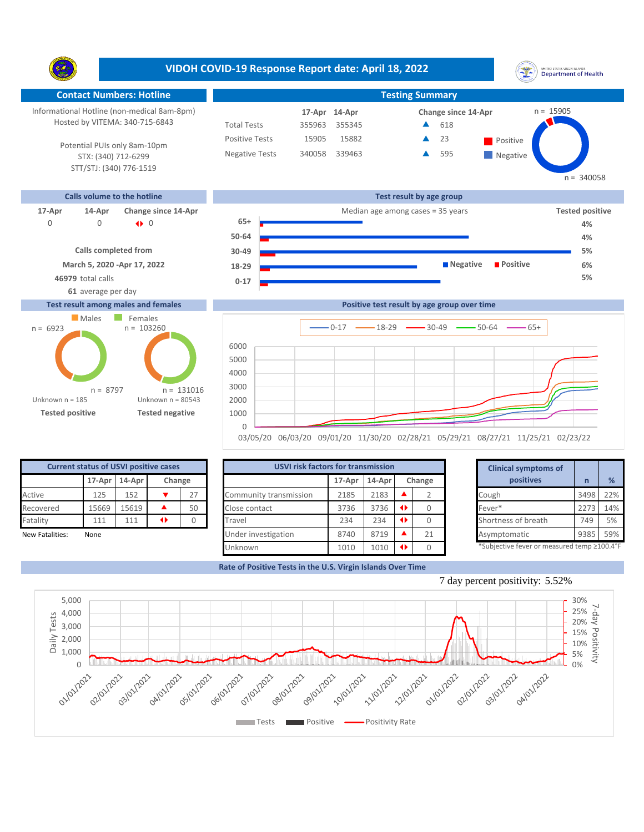**VIDOH COVID-19 Response Report date: April 18, 2022** UNITED STATES VIRGIN SLANDS<br>Department of Health Y. **Contact Numbers: Hotline Testing Summary** Informational Hotline (non-medical 8am-8pm) n = 15905 **14-Apr 17-Apr Change since 14-Apr** Hosted by VITEMA: 340-715-6843 Total Tests 355963 355345 618 ▲ Positive Tests 15905 15882 **A** 23 **Positive** 23  $\blacktriangle$ Potential PUIs only 8am-10pm Negative Tests 340058 339463 595 ▲ **Negative** STX: (340) 712-6299 STT/STJ: (340) 776-1519  $n = 340058$ **Calls volume to the hotline Test result by age group 17-Apr 14-Apr Change since 14-Apr** Median age among cases = 35 years **Tested positive 65+** 0 0 0 |} **4% 50-64 4% Calls completed from 5% 30-49 March 5, 2020 -Apr 17, 2022 Negative Positive 6% 18-29 46979** total calls **5% 0-17 61** average per day **Test result among males and females Positive test result by age group over time Males** Females  $n = 103260$ n = 6923  $0-17$   $\longrightarrow$  18-29  $\longrightarrow$  30-49  $\longrightarrow$  50-64  $\longrightarrow$  65+ **Confirmed cases**





03/05/20 06/03/20 09/01/20 11/30/20 02/28/21 05/29/21 08/27/21 11/25/21 02/23/22

| <b>Current status of USVI positive cases</b> |        |        |        |    |  |  |  |  |  |
|----------------------------------------------|--------|--------|--------|----|--|--|--|--|--|
|                                              | 17-Apr | 14-Apr | Change |    |  |  |  |  |  |
| Active                                       | 125    | 152    |        | 27 |  |  |  |  |  |
| Recovered                                    | 15669  | 15619  |        | 50 |  |  |  |  |  |
| Fatality                                     | 111    | 111    |        |    |  |  |  |  |  |
| <b>New Fatalities:</b>                       | None   |        |        |    |  |  |  |  |  |

| <b>Current status of USVI positive cases</b> |                         |       |                 |        |                        | <b>USVI risk factors for transmission</b> |      |           |    |   | <b>Clinical symptoms of</b>                |      |     |
|----------------------------------------------|-------------------------|-------|-----------------|--------|------------------------|-------------------------------------------|------|-----------|----|---|--------------------------------------------|------|-----|
|                                              | 17-Apr 14-Apr<br>Change |       |                 | 17-Apr | 14-Apr<br>Change       |                                           |      | positives |    | % |                                            |      |     |
| Active                                       | 125                     | 152   |                 | 27     | Community transmission | 2185                                      | 2183 |           |    |   | Cough                                      | 3498 | 22% |
| Recovered                                    | 15669                   | 15619 |                 | 50     | Close contact          | 3736                                      | 3736 |           |    |   | Fever*                                     | 2273 | 14% |
| Fatality                                     | 111                     | 111   | $\blacklozenge$ |        | Travel                 | 234                                       | 234  |           |    |   | Shortness of breath                        | 749  | 5%  |
| New Fatalities:                              | None                    |       |                 |        | Under investigation    | 8740                                      | 8719 |           | 21 |   | Asymptomatic                               | 9385 | 59% |
|                                              |                         |       |                 |        | Unknown                | 1010                                      | 1010 |           |    |   | *Subjective fever or measured temp ≥100.4° |      |     |

|                      | for transmission     |       |        | <b>Clinical symptoms of</b>                                                                                                                                                                                                                                                          |      |     |
|----------------------|----------------------|-------|--------|--------------------------------------------------------------------------------------------------------------------------------------------------------------------------------------------------------------------------------------------------------------------------------------|------|-----|
| 17-Apr               | 14-Apr               |       | Change | positives                                                                                                                                                                                                                                                                            | n    | %   |
| 2185                 | 2183                 |       |        | Cough                                                                                                                                                                                                                                                                                | 3498 | 22% |
| 3736                 | 3736                 | ◆     | 0      | Fever*                                                                                                                                                                                                                                                                               | 2273 | 14% |
| 234                  | 234                  | ◆     |        | Shortness of breath                                                                                                                                                                                                                                                                  | 749  | 5%  |
| 8740                 | 8719                 |       | 21     | Asymptomatic                                                                                                                                                                                                                                                                         | 9385 | 59% |
| $\sim$ $\sim$ $\sim$ | $\sim$ $\sim$ $\sim$ | 4 N.Y |        | $*c_1, k_2, k_3, k_4, k_5, k_6, k_7, k_8, k_9, k_1, k_2, k_3, k_4, k_5, k_6, k_7, k_8, k_9, k_1, k_2, k_3, k_4, k_5, k_6, k_7, k_8, k_9, k_1, k_2, k_3, k_4, k_5, k_6, k_7, k_8, k_9, k_1, k_2, k_3, k_4, k_5, k_6, k_7, k_8, k_9, k_1, k_2, k_3, k_4, k_5, k_6, k_7, k_8, k_9, k_1$ |      |     |